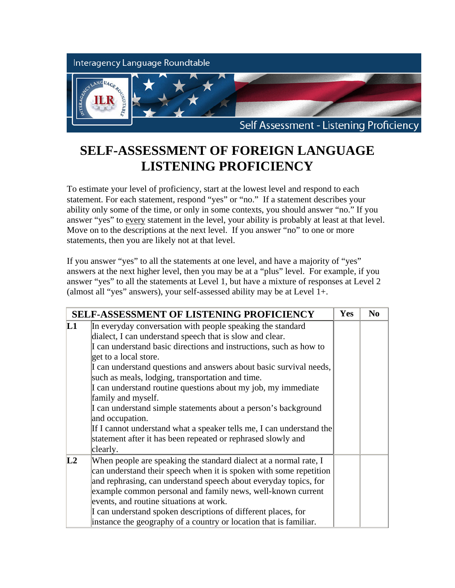

## **SELF-ASSESSMENT OF FOREIGN LANGUAGE LISTENING PROFICIENCY**

To estimate your level of proficiency, start at the lowest level and respond to each statement. For each statement, respond "yes" or "no." If a statement describes your ability only some of the time, or only in some contexts, you should answer "no." If you answer "yes" to every statement in the level, your ability is probably at least at that level. Move on to the descriptions at the next level. If you answer "no" to one or more statements, then you are likely not at that level.

If you answer "yes" to all the statements at one level, and have a majority of "yes" answers at the next higher level, then you may be at a "plus" level. For example, if you answer "yes" to all the statements at Level 1, but have a mixture of responses at Level 2 (almost all "yes" answers), your self-assessed ability may be at Level 1+.

| <b>SELF-ASSESSMENT OF LISTENING PROFICIENCY</b> |                                                                                                                                                                                                                                                                                                                                                                                                                                                                                                                                                                                                                                                                                 | Yes | N <sub>0</sub> |
|-------------------------------------------------|---------------------------------------------------------------------------------------------------------------------------------------------------------------------------------------------------------------------------------------------------------------------------------------------------------------------------------------------------------------------------------------------------------------------------------------------------------------------------------------------------------------------------------------------------------------------------------------------------------------------------------------------------------------------------------|-----|----------------|
| $\mathbf{L}$                                    | In everyday conversation with people speaking the standard<br>dialect, I can understand speech that is slow and clear.<br>I can understand basic directions and instructions, such as how to<br>get to a local store.<br>I can understand questions and answers about basic survival needs,<br>such as meals, lodging, transportation and time.<br>I can understand routine questions about my job, my immediate<br>family and myself.<br>I can understand simple statements about a person's background<br>and occupation.<br>If I cannot understand what a speaker tells me, I can understand the<br>statement after it has been repeated or rephrased slowly and<br>clearly. |     |                |
| L2                                              | When people are speaking the standard dialect at a normal rate, I<br>can understand their speech when it is spoken with some repetition<br>and rephrasing, can understand speech about everyday topics, for<br>example common personal and family news, well-known current<br>events, and routine situations at work.<br>I can understand spoken descriptions of different places, for<br>instance the geography of a country or location that is familiar.                                                                                                                                                                                                                     |     |                |